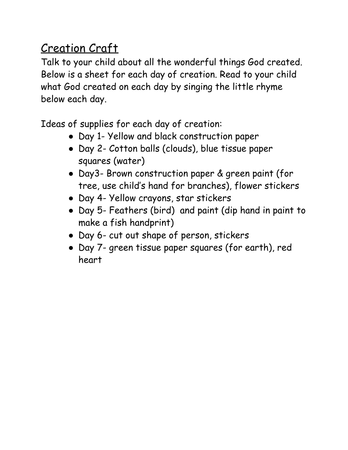## Creation Craft

Talk to your child about all the wonderful things God created. Below is a sheet for each day of creation. Read to your child what God created on each day by singing the little rhyme below each day.

Ideas of supplies for each day of creation:

- Day 1- Yellow and black construction paper
- Day 2- Cotton balls (clouds), blue tissue paper squares (water)
- Day3- Brown construction paper & green paint (for tree, use child's hand for branches), flower stickers
- Day 4- Yellow crayons, star stickers
- Day 5- Feathers (bird) and paint (dip hand in paint to make a fish handprint)
- Day 6- cut out shape of person, stickers
- Day 7- green tissue paper squares (for earth), red heart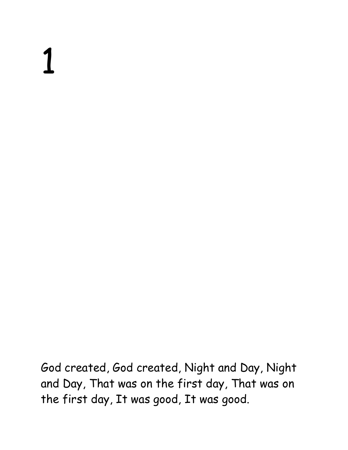God created, God created, Night and Day, Night and Day, That was on the first day, That was on the first day, It was good, It was good.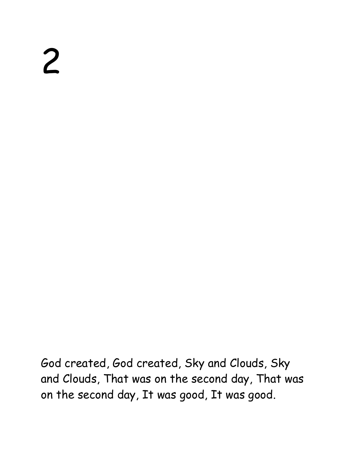God created, God created, Sky and Clouds, Sky and Clouds, That was on the second day, That was on the second day, It was good, It was good.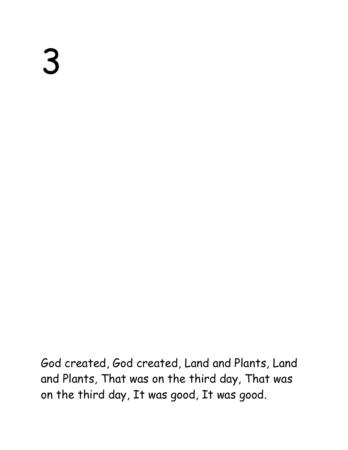God created, God created, Land and Plants, Land and Plants, That was on the third day, That was on the third day, It was good, It was good.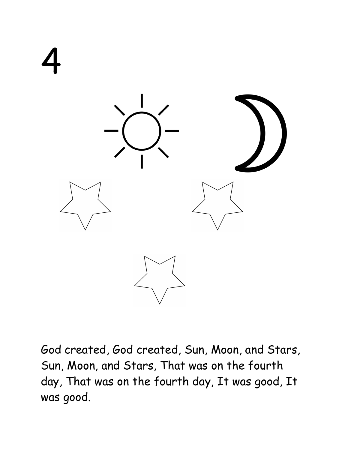

God created, God created, Sun, Moon, and Stars, Sun, Moon, and Stars, That was on the fourth day, That was on the fourth day, It was good, It was good.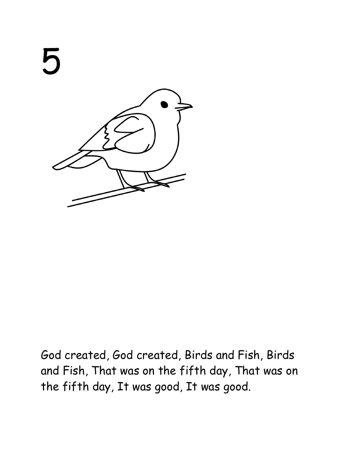

God created, God created, Birds and Fish, Birds and Fish, That was on the fifth day, That was on the fifth day, It was good, It was good.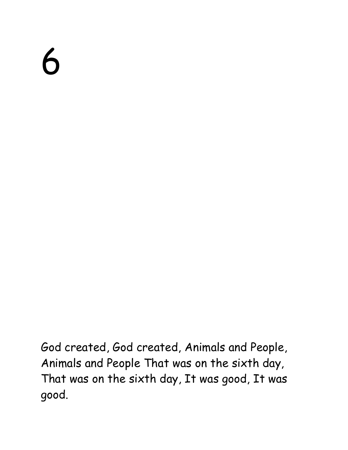God created, God created, Animals and People, Animals and People That was on the sixth day, That was on the sixth day, It was good, It was good.